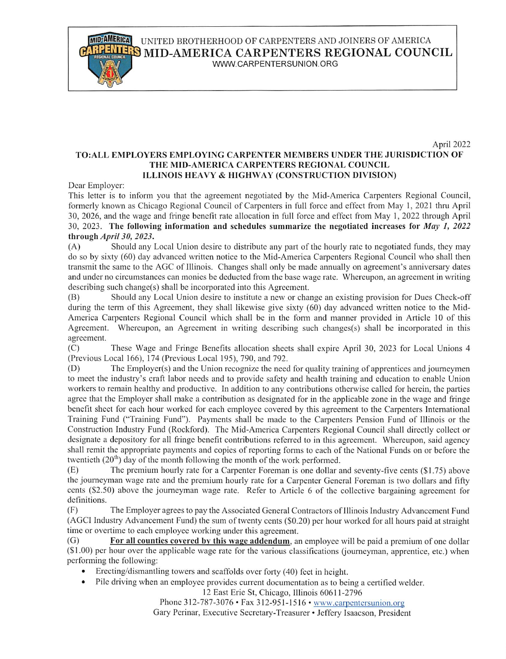**MID-AMERICA** UNITED BROTHERHOOD OF CARPENTERS AND JOINERS OF AMERICA **S**MID-AMERICA CARPENTERS REGIONAL COUNCIL

WWW.CARPENTERSUNlON.ORG

### April 2022 TO:ALL EMPLOYERS EMPLOYING CARPENTER MEMBERS UNDER THE JURISDICTION OF THE MID-AMERICA CARPENTERS REGIONAL COUNCIL ILLINOIS HEAVY & HIGHWAY (CONSTRUCTION DIVISION)

Dear Employer:

This letter is to inform you that the agreement negotiated by the Mid-America Carpenters Regional Council, formerly known as Chicago Regional Council of Carpenters in full force and effect from May 1, 2021 thru April 30, 2026, and the wage and fringe benefit rate allocation in full force and effect from May 1, 2022 through April 30, 2023. The following information and schedules summarize the negotiated increases for May 1, 2022 through April 30, 2023.

(A) Should any Local Union desire to distribute any part of the hourly rate to negotiated funds, they may do so by sixty (60) day advanced written notice to the Mid-America Carpenters Regional Council who shall then transmit the same to the AGC of Illinois. Changes shall only be made annually on agreement's anniversary dates and under no circumstances can monies be deducted from the base wage rate. Whereupon, an agreement in writing  $describing such change(s) shall be incorporated into this Agreement.$ 

(B) Should any Local Union desire to institute a new or change an existing provision for Dues Check-off during the term of this Agreement, they shall likewise give sixty (60) day advanced written notice to the Mid-America Carpenters Regional Council which shall be in the fonn and manner provided in Article 10 of this Agreement. Whereupon, an Agreement in writing describing such changes(s) shall be incorporated in this agreement.

(C) These Wage and Fringe Benefits allocation sheets shall expire April 30, 2023 for Local Unions 4 (Previous Local 166), 174 (Previous Local 195), 790, and 792.

(D) The Employer(s) and the Union recognize the need for quality training of apprentices and joumeymen to meet the industry's craft labor needs and to provide safety and health training and education to enable Union workers to remain healthy and productive. In addition to any contributions otherwise called for herein, the parties agree that the Employer shall make a contribution as designated for in the applicable zone in the wage and fringe benefit sheet for each hour worked for each employee covered by this agreement to the Carpenters International Training Fund ("Training Fund"). Payments shall be made to the Carpenters Pension Fund of Illinois or the Construction Industry Fund (Rockford). The Mid-America Carpenters Regional Council shall directly collect or designate a depository for all fringe benefit contributions referred to in this agreement. Whereupon, said agency shall remit the appropriate payments and copies of reporting fonns to each of the National Funds on or before the twentieth  $(20<sup>th</sup>)$  day of the month following the month of the work performed.

(E) The premium hourly rate for a Carpenter Foreman is one dollar and seventy-five cents (\$1.75) above the journeyman wage rate and the premium hourly rate for a Carpenter General Foreman is two dollars and fifty cents (\$2.50) above the journeyman wage rate. Refer to Article 6 of the collective bargaining agreement for definitions.

(F) The Employer agrees to pay the Associated General Contractors of Illinois Industry Advancement Fund (AGCI Industry Advancement Fund) the sum of twenty cents (\$0.20) per hour worked for all hours paid at straight time or overtime to each employee working under this agreement.

(G) For all counties covered bv this wage addendum, an employee will be paid a premium of one dollar  $(1.00)$  per hour over the applicable wage rate for the various classifications (journeyman, apprentice, etc.) when performing the following:

• Erecting/dismantling towers and scaffolds over forty (40) feet in height.

• Pile driving when an employee provides current documentation as to being a certified welder.

12 East Erie St, Chicago, Illinois 60611-2796

Phone 312-787-3076 • Fax 312-951-1516 • www.carpentersunion.org

Gary Perinar, Executive Secretary-Treasurer • Jeffery Isaacson, President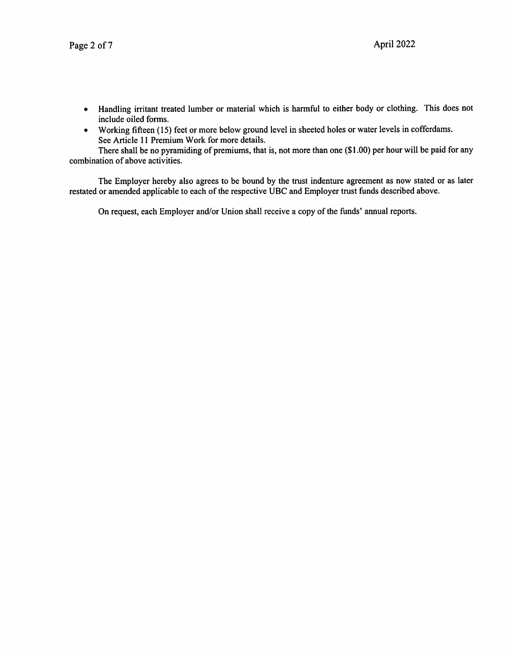- Handling irritant treated lumber or material which is harmful to either body or clothing. This does not include oiled forms.
- Working fifteen (15) feet or more below ground level in sheeted holes or water levels in cofferdams.  $\bullet$ See Article 11 Premium Work for more details.

There shall be no pyramiding of premiums, that is, not more than one (\$1.00) per hour will be paid for any combination of above activities.

The Employer hereby also agrees to be bound by the trust indenture agreement as now stated or as later restated or amended applicable to each of the respective UBC and Employer trust funds described above.

On request, each Employer and/or Union shall receive a copy of the funds' annual reports.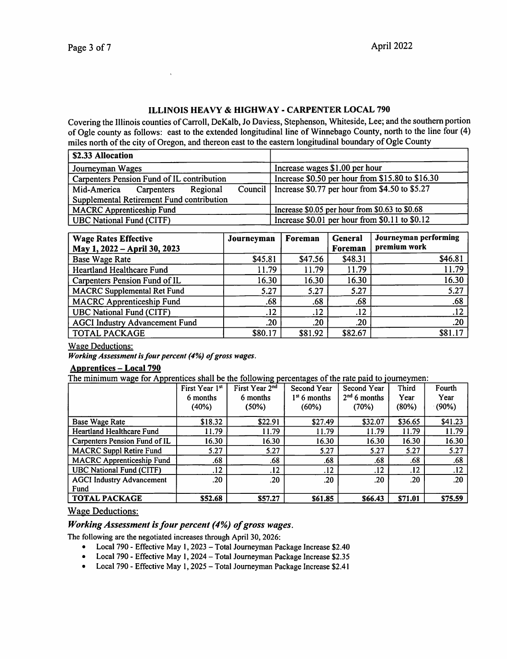## ILLINOIS HEAVY & HIGHWAY - CARPENTER LOCAL 790

Covering the Illinois counties of Carroll, DeKalb, Jo Daviess, Stephenson, Whiteside, Lee; and the southern portion of Ogle county as follows: east to the extended longitudinal line of Winnebago County, north to the line four (4) miles north of the city of Oregon, and thereon east to the eastern longitudinal boundary of Ogle County

| <b>\$2.33 Allocation</b>                           |                                                  |
|----------------------------------------------------|--------------------------------------------------|
| Journeyman Wages                                   | Increase wages \$1.00 per hour                   |
| Carpenters Pension Fund of IL contribution         | Increase \$0.50 per hour from \$15.80 to \$16.30 |
| Council  <br>Mid-America<br>Regional<br>Carpenters | Increase \$0.77 per hour from \$4.50 to \$5.27   |
| Supplemental Retirement Fund contribution          |                                                  |
| <b>MACRC</b> Apprenticeship Fund                   | Increase \$0.05 per hour from \$0.63 to \$0.68   |
| UBC National Fund (CITF)                           | Increase \$0.01 per hour from \$0.11 to \$0.12   |

| <b>Wage Rates Effective</b>           | Journeyman | Foreman | General | Journeyman performing |
|---------------------------------------|------------|---------|---------|-----------------------|
| May 1, 2022 - April 30, 2023          |            |         | Foreman | premium work          |
| <b>Base Wage Rate</b>                 | \$45.81    | \$47.56 | \$48.31 | \$46.81               |
| Heartland Healthcare Fund             | 11.79      | 11.79   | 11.79   | 11.79                 |
| Carpenters Pension Fund of IL         | 16.30      | 16.30   | 16.30   | 16.30                 |
| <b>MACRC</b> Supplemental Ret Fund    | 5.27       | 5.27    | 5.27    | 5.27                  |
| <b>MACRC</b> Apprenticeship Fund      | .68        | .68     | .68     | .68                   |
| <b>UBC National Fund (CITF)</b>       | .12        | .12     | .12     | .12                   |
| <b>AGCI Industry Advancement Fund</b> | .20        | .20     | .20     | .20                   |
| <b>TOTAL PACKAGE</b>                  | \$80.17    | \$81.92 | \$82.67 | \$81.17               |

#### Wage Deductions:

Working Assessment is four percent (4%) of gross wages.

 $\bar{\rm v}$ 

## Apprentices - Local 790

The minimum wage for Apprentices shall be the following percentages of the rate paid to joumeymen:

|                                  | First Year 1st<br>6 months | First Year $2nd$<br>6 months | Second Year<br>$1st$ 6 months | Second Year<br>$2nd 6$ months | <b>Third</b><br>Year | Fourth<br>Year |
|----------------------------------|----------------------------|------------------------------|-------------------------------|-------------------------------|----------------------|----------------|
|                                  | (40%)                      | (50%)                        | (60%)                         | (70%)                         | (80%)                | $(90\%)$       |
| Base Wage Rate                   | \$18.32                    | \$22.91                      | \$27.49                       | \$32.07                       | \$36.65              | \$41.23        |
| <b>Heartland Healthcare Fund</b> | 11.79                      | 11.79                        | 11.79                         | 11.79                         | 11.79                | 11.79          |
| Carpenters Pension Fund of IL    | 16.30                      | 16.30                        | 16.30                         | 16.30                         | 16.30                | 16.30          |
| <b>MACRC Suppl Retire Fund</b>   | 5.27                       | 5.27                         | 5.27                          | 5.27                          | 5.27                 | 5.27           |
| <b>MACRC</b> Apprenticeship Fund | .68                        | .68                          | .68                           | .68                           | .68                  | .68            |
| <b>UBC National Fund (CITF)</b>  | .12                        | .12                          | .12                           | .12                           | .12                  | .12            |
| <b>AGCI Industry Advancement</b> | .20                        | .20                          | .20                           | .20                           | .20                  | .20            |
| Fund                             |                            |                              |                               |                               |                      |                |
| <b>TOTAL PACKAGE</b>             | \$52.68                    | \$57.27                      | \$61.85                       | \$66.43                       | \$71.01              | \$75.59        |

### Wage Deductions:

## Working Assessment is four percent (4%) of gross wages.

The following are the negotiated increases through April 30,2026:

- Local 790 Effective May 1, 2023 Total Journeyman Package Increase \$2.40
- Local 790 Effective May 1, 2024 Total Journeyman Package Increase \$2.35
- Local 790 Effective May 1, 2025 Total Journeyman Package Increase \$2.41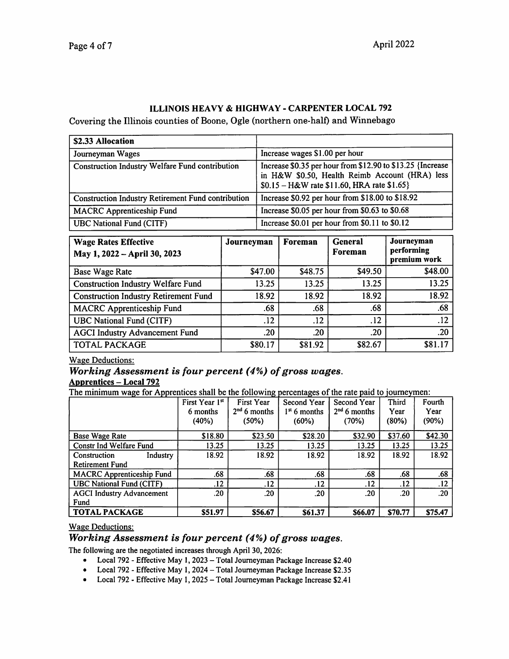## ILLINOIS HEAVY & HIGHWAY - CARPENTER LOCAL 792

Covering the Illinois counties of Boone, Ogle (northern one-half) and Winnebago

| \$2.33 Allocation                                         |                                                                                                                                                              |
|-----------------------------------------------------------|--------------------------------------------------------------------------------------------------------------------------------------------------------------|
| Journeyman Wages                                          | Increase wages \$1.00 per hour                                                                                                                               |
| Construction Industry Welfare Fund contribution           | Increase \$0.35 per hour from \$12.90 to \$13.25 {Increase<br>in H&W \$0.50, Health Reimb Account (HRA) less<br>$$0.15 - H&W$ rate \$11.60, HRA rate \$1.65} |
| <b>Construction Industry Retirement Fund contribution</b> | Increase \$0.92 per hour from \$18.00 to \$18.92                                                                                                             |
| <b>MACRC</b> Apprenticeship Fund                          | Increase \$0.05 per hour from \$0.63 to \$0.68                                                                                                               |
| <b>UBC National Fund (CITF)</b>                           | Increase \$0.01 per hour from \$0.11 to \$0.12                                                                                                               |

| <b>Wage Rates Effective</b><br>May 1, 2022 - April 30, 2023 | Journeyman | Foreman | General<br>Foreman | Journeyman<br>performing<br>premium work |
|-------------------------------------------------------------|------------|---------|--------------------|------------------------------------------|
| <b>Base Wage Rate</b>                                       | \$47.00    | \$48.75 | \$49.50            | \$48.00                                  |
| <b>Construction Industry Welfare Fund</b>                   | 13.25      | 13.25   | 13.25              | 13.25                                    |
| <b>Construction Industry Retirement Fund</b>                | 18.92      | 18.92   | 18.92              | 18.92                                    |
| <b>MACRC Apprenticeship Fund</b>                            | .68        | .68     | .68                | .68                                      |
| <b>UBC National Fund (CITF)</b>                             | .12        | .12     | .12                | .12                                      |
| <b>AGCI Industry Advancement Fund</b>                       | .20        | .20     | .20                | .20                                      |
| <b>TOTAL PACKAGE</b>                                        | \$80.17    | \$81.92 | \$82.67            | \$81.17                                  |

Wage Deductions:

# Working Assessment is four percent (4%) of gross wages.

Apprentices – Local 792<br>The minimum wage for Apprentices shall be the following percentages of the rate paid to journeymen:

|                                  | First Year 1st<br>6 months<br>(40%) | First Year<br>$2nd$ 6 months<br>(50%) | Second Year<br>$1st$ 6 months<br>(60%) | Second Year<br>$2nd$ 6 months<br>(70%) | Third<br>Year<br>(80%) | Fourth<br>Year<br>(90%) |
|----------------------------------|-------------------------------------|---------------------------------------|----------------------------------------|----------------------------------------|------------------------|-------------------------|
| <b>Base Wage Rate</b>            | \$18.80                             | \$23.50                               | \$28.20                                | \$32.90                                | \$37.60                | \$42.30                 |
| Constr Ind Welfare Fund          | 13.25                               | 13.25                                 | 13.25                                  | 13.25                                  | 13.25                  | 13.25                   |
| Industry<br>Construction         | 18.92                               | 18.92                                 | 18.92                                  | 18.92                                  | 18.92                  | 18.92                   |
| <b>Retirement Fund</b>           |                                     |                                       |                                        |                                        |                        |                         |
| <b>MACRC</b> Apprenticeship Fund | .68                                 | .68                                   | .68                                    | .68                                    | .68                    | .68                     |
| <b>UBC National Fund (CITF)</b>  | .12                                 | .12                                   | .12                                    | .12                                    | .12                    | .12                     |
| <b>AGCI Industry Advancement</b> | .20                                 | .20                                   | .20                                    | .20                                    | .20 <sub>1</sub>       | .20                     |
| Fund                             |                                     |                                       |                                        |                                        |                        |                         |
| <b>TOTAL PACKAGE</b>             | <b>S51.97</b>                       | \$56.67                               | \$61.37                                | <b>\$66.07</b>                         | <b>\$70.77</b>         | <b>\$75.47</b>          |

Wage Deductions:

## Working Assessment is four percent (4%) of gross wages.

The following are the negotiated increases through April 30,2026:

- Local 792 Effective May 1, 2023 Total Journeyman Package Increase \$2.40
- Local 792 Effective May 1,2024 Total Journeyman Package Increase \$2.35
- Local 792 Effective May 1, 2025 Total Journeyman Package Increase \$2.41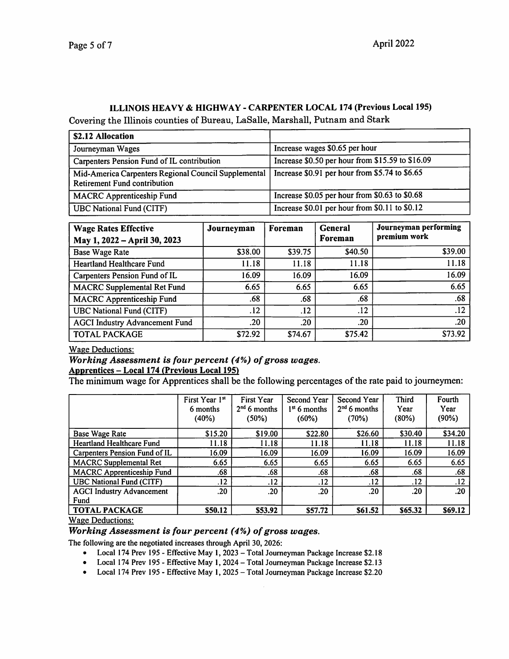# ILLINOIS HEAVY & HIGHWAY - CARPENTER LOCAL 174 (Previous Local 195)

Covering the Illinois counties of Bureau, LaSalle, Marshall, Putnam and Stark

| \$2.12 Allocation                                                                           |                                                  |
|---------------------------------------------------------------------------------------------|--------------------------------------------------|
| Journeyman Wages                                                                            | Increase wages \$0.65 per hour                   |
| Carpenters Pension Fund of IL contribution                                                  | Increase \$0.50 per hour from \$15.59 to \$16.09 |
| Mid-America Carpenters Regional Council Supplemental<br><b>Retirement Fund contribution</b> | Increase \$0.91 per hour from \$5.74 to \$6.65   |
| <b>MACRC</b> Apprenticeship Fund                                                            | Increase \$0.05 per hour from \$0.63 to \$0.68   |
| <b>UBC National Fund (CITF)</b>                                                             | Increase \$0.01 per hour from \$0.11 to \$0.12   |

| <b>Wage Rates Effective</b><br>May 1, 2022 - April 30, 2023 | Journeyman | Foreman | <b>General</b><br>Foreman | Journeyman performing<br>premium work |
|-------------------------------------------------------------|------------|---------|---------------------------|---------------------------------------|
| <b>Base Wage Rate</b>                                       | \$38.00    | \$39.75 | \$40.50                   | \$39.00                               |
| <b>Heartland Healthcare Fund</b>                            | 11.18      | 11.18   | 11.18                     | 11.18                                 |
| Carpenters Pension Fund of IL                               | 16.09      | 16.09   | 16.09                     | 16.09                                 |
| <b>MACRC</b> Supplemental Ret Fund                          | 6.65       | 6.65    | 6.65                      | 6.65                                  |
| <b>MACRC</b> Apprenticeship Fund                            | .68        | .68     | .68                       | .68                                   |
| <b>UBC National Fund (CITF)</b>                             | .12        | .12     | .12                       | .12                                   |
| <b>AGCI Industry Advancement Fund</b>                       | .20        | .20     | .20                       | .20                                   |
| <b>TOTAL PACKAGE</b>                                        | \$72.92    | \$74.67 | \$75.42                   | \$73.92                               |

Wage Deductions:

## Working Assessment is four percent (4%) of gross wages. Apprentices - Local 174 (Previous Local 195)

The minimum wage for Apprentices shall be the following percentages of the rate paid to journeymen:

|                                  | First Year 1st<br>6 months<br>(40%) | <b>First Year</b><br>$2nd 6$ months<br>(50%) | Second Year<br>$1st$ 6 months<br>(60%) | Second Year<br>$2nd 6$ months<br>(70%) | <b>Third</b><br>Year<br>(80%) | Fourth<br>Year<br>(90%) |
|----------------------------------|-------------------------------------|----------------------------------------------|----------------------------------------|----------------------------------------|-------------------------------|-------------------------|
| Base Wage Rate                   | \$15.20                             | \$19.00                                      | \$22.80                                | \$26.60                                | \$30.40                       | \$34.20                 |
| <b>Heartland Healthcare Fund</b> | 11.18                               | 11.18                                        | 11.18                                  | 11.18                                  | 11.18                         | 11.18                   |
| Carpenters Pension Fund of IL    | 16.09                               | 16.09                                        | 16.09                                  | 16.09                                  | 16.09                         | 16.09                   |
| <b>MACRC</b> Supplemental Ret    | 6.65                                | 6.65                                         | 6.65                                   | 6.65                                   | 6.65                          | 6.65                    |
| <b>MACRC</b> Apprenticeship Fund | .68                                 | .68                                          | .68                                    | .68                                    | .68                           | .68                     |
| <b>UBC National Fund (CITF)</b>  | .12                                 | .12                                          | .12                                    | .12                                    | .12                           | .12                     |
| <b>AGCI Industry Advancement</b> | .20                                 | .20                                          | .20                                    | .20                                    | .20                           | .20                     |
| Fund                             |                                     |                                              |                                        |                                        |                               |                         |
| <b>TOTAL PACKAGE</b>             | \$50.12                             | \$53.92                                      | \$57.72                                | \$61.52                                | \$65.32                       | \$69.12                 |

Wage Deductions:

## Working Assessment is four percent (4%) of gross wages.

The following are the negotiated increases through April 30,2026:

- Local 174 Prev 195 Effective May 1, 2023 Total Journeyman Package Increase \$2.18
- Local 174 Prev 195 Effective May 1, 2024 Total Journeyman Package Increase \$2.13
- Local 174 Prev 195 Effective May 1, 2025 Total Journeyman Package Increase \$2.20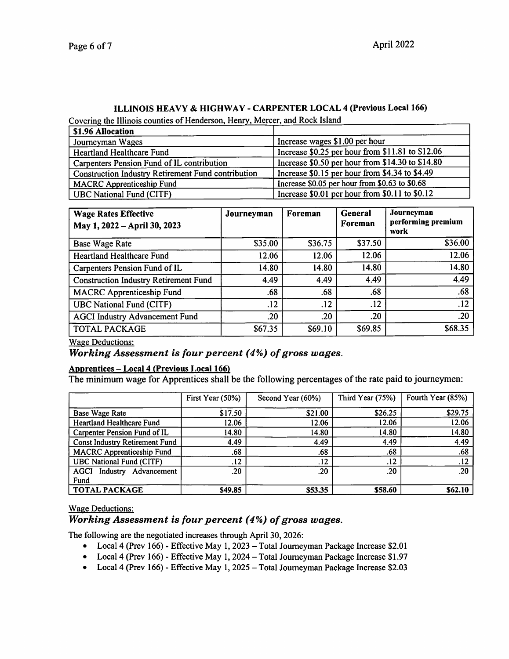# ILLINOIS HEAVY & HIGHWAY - CARPENTER LOCAL 4 (Previous Local 166)<br>Covering the Illinois counties of Henderson, Henry, Mercer, and Rock Island

| \$1.96 Allocation                                         |                                                  |
|-----------------------------------------------------------|--------------------------------------------------|
| Journeyman Wages                                          | Increase wages \$1.00 per hour                   |
| Heartland Healthcare Fund                                 | Increase \$0.25 per hour from \$11.81 to \$12.06 |
| Carpenters Pension Fund of IL contribution                | Increase \$0.50 per hour from \$14.30 to \$14.80 |
| <b>Construction Industry Retirement Fund contribution</b> | Increase \$0.15 per hour from \$4.34 to \$4.49   |
| <b>MACRC</b> Apprenticeship Fund                          | Increase \$0.05 per hour from \$0.63 to \$0.68   |
| <b>UBC National Fund (CITF)</b>                           | Increase \$0.01 per hour from \$0.11 to \$0.12   |

| <b>Wage Rates Effective</b><br>May 1, 2022 - April 30, 2023 | Journeyman | Foreman | <b>General</b><br>Foreman | Journeyman<br>performing premium<br>work |
|-------------------------------------------------------------|------------|---------|---------------------------|------------------------------------------|
| Base Wage Rate                                              | \$35.00    | \$36.75 | \$37.50                   | \$36.00                                  |
| <b>Heartland Healthcare Fund</b>                            | 12.06      | 12.06   | 12.06                     | 12.06                                    |
| Carpenters Pension Fund of IL                               | 14.80      | 14.80   | 14.80                     | 14.80                                    |
| <b>Construction Industry Retirement Fund</b>                | 4.49       | 4.49    | 4.49                      | 4.49                                     |
| <b>MACRC</b> Apprenticeship Fund                            | .68        | .68     | .68                       | .68                                      |
| <b>UBC National Fund (CITF)</b>                             | .12        | .12     | .12                       | .12                                      |
| <b>AGCI Industry Advancement Fund</b>                       | .20        | .20     | .20                       | .20                                      |
| <b>TOTAL PACKAGE</b>                                        | \$67.35    | \$69.10 | \$69.85                   | \$68.35                                  |

Wage Deductions:

## Working Assessment is four percent (4%) of gross wages.

## Apprentices - Local 4 (Previous Local 1661

The minimum wage for Apprentices shall be the following percentages of the rate paid to journeymen:

|                                       | First Year (50%) | Second Year (60%) | Third Year (75%) | Fourth Year (85%) |
|---------------------------------------|------------------|-------------------|------------------|-------------------|
| <b>Base Wage Rate</b>                 | \$17.50          | \$21.00           | \$26.25          | \$29.75           |
| <b>Heartland Healthcare Fund</b>      | 12.06            | 12.06             | 12.06            | 12.06             |
| Carpenter Pension Fund of IL          | 14.80            | 14.80             | 14.80            | 14.80             |
| <b>Const Industry Retirement Fund</b> | 4.49             | 4.49              | 4.49             | 4.49              |
| <b>MACRC</b> Apprenticeship Fund      | .68              | .68               | .68              | .68               |
| <b>UBC National Fund (CITF)</b>       | .12              | .12               | .12              | .12               |
| Industry Advancement<br>AGCI          | .20              | .20               | .20              | .20               |
| Fund                                  |                  |                   |                  |                   |
| <b>TOTAL PACKAGE</b>                  | \$49.85          | \$53.35           | \$58.60          | \$62.10           |

## Wage Deductions:

## Working Assessment is four percent (4%) of gross wages.

The following are the negotiated increases through April 30, 2026:

- Local 4 (Prev 166) Effective May 1, 2023 Total Journeyman Package Increase \$2.01
- Local 4 (Prev 166) Effective May 1,2024 Total Joumeyman Package Increase \$1.97
- Local 4 (Prev 166) Effective May 1, 2025 Total Joumeyman Package Increase \$2.03